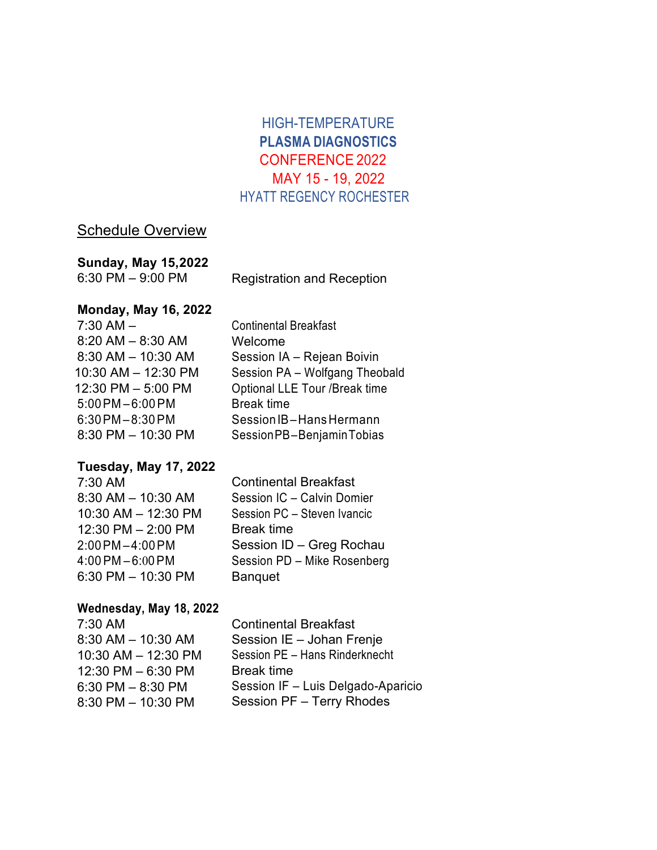# HIGH-TEMPERATURE **PLASMA DIAGNOSTICS**  CONFERENCE 2022 MAY 15 - 19, 2022 HYATT REGENCY ROCHESTER

## Schedule Overview

## **Sunday, May 15,2022**

6:30 PM – 9:00 PM

Registration and Reception

## **Monday, May 16, 2022**

7:30 AM – 8:20 AM – 8:30 AM 8:30 AM – 10:30 AM 10:30 AM – 12:30 PM 12:30 PM – 5:00 PM 5:00PM – 6:00PM 6:30PM – 8:30PM 8:30 PM – 10:30 PM

Continental Breakfast Welcome Session IA – Rejean Boivin Session PA – Wolfgang Theobald Optional LLE Tour /Break time Break time Session IB-Hans Hermann SessionPB–BenjaminTobias

#### **Tuesday, May 17, 2022**

7:30 AM 8:30 AM – 10:30 AM 10:30 AM – 12:30 PM 12:30 PM – 2:00 PM 2:00PM – 4:00PM 4:00 PM – 6:00PM 6:30 PM – 10:30 PM

Continental Breakfast Session IC – Calvin Domier Session PC – Steven Ivancic Break time Session ID – Greg Rochau Session PD – Mike Rosenberg Banquet

#### **Wednesday, May 18, 2022**

7:30 AM 8:30 AM – 10:30 AM 10:30 AM – 12:30 PM 12:30 PM – 6:30 PM 6:30 PM – 8:30 PM 8:30 PM – 10:30 PM

Continental Breakfast Session IE – Johan Frenje Session PE – Hans Rinderknecht Break time Session IF – Luis Delgado-Aparicio Session PF – Terry Rhodes